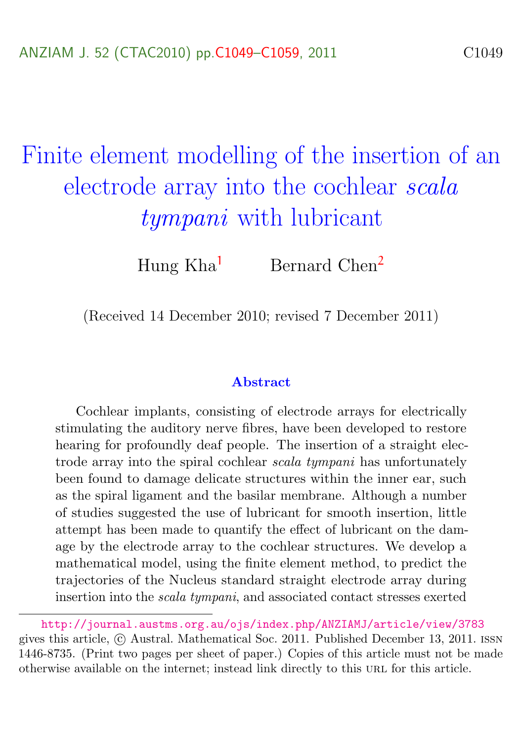# <span id="page-0-0"></span>Finite element modelling of the insertion of an electrode array into the cochlear scala tympani with lubricant

Hung Kha<sup>[1](#page-10-1)</sup> Bernard Chen<sup>[2](#page-10-0)</sup>

(Received 14 December 2010; revised 7 December 2011)

#### Abstract

Cochlear implants, consisting of electrode arrays for electrically stimulating the auditory nerve fibres, have been developed to restore hearing for profoundly deaf people. The insertion of a straight electrode array into the spiral cochlear scala tympani has unfortunately been found to damage delicate structures within the inner ear, such as the spiral ligament and the basilar membrane. Although a number of studies suggested the use of lubricant for smooth insertion, little attempt has been made to quantify the effect of lubricant on the damage by the electrode array to the cochlear structures. We develop a mathematical model, using the finite element method, to predict the trajectories of the Nucleus standard straight electrode array during insertion into the scala tympani, and associated contact stresses exerted

<http://journal.austms.org.au/ojs/index.php/ANZIAMJ/article/view/3783> gives this article,  $\odot$  Austral. Mathematical Soc. 2011. Published December 13, 2011. ISSN 1446-8735. (Print two pages per sheet of paper.) Copies of this article must not be made otherwise available on the internet; instead link directly to this url for this article.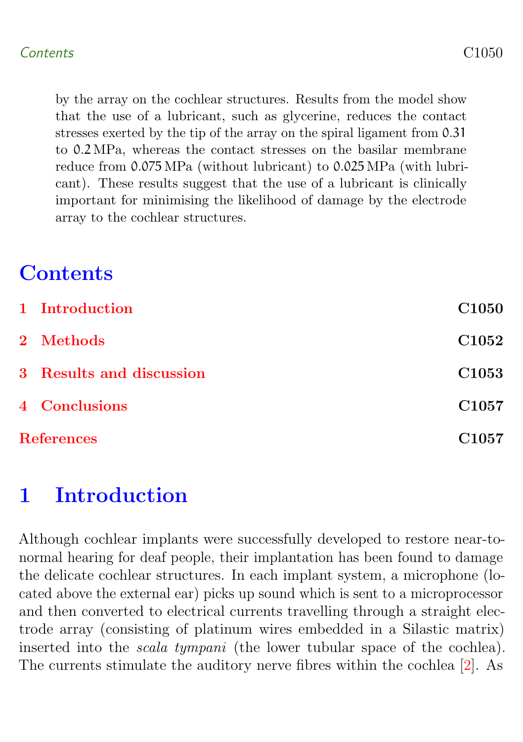<span id="page-1-1"></span>by the array on the cochlear structures. Results from the model show that the use of a lubricant, such as glycerine, reduces the contact stresses exerted by the tip of the array on the spiral ligament from 0.31 to 0.2 MPa, whereas the contact stresses on the basilar membrane reduce from 0.075 MPa (without lubricant) to 0.025 MPa (with lubricant). These results suggest that the use of a lubricant is clinically important for minimising the likelihood of damage by the electrode array to the cochlear structures.

# **Contents**

|                   | 1 Introduction           | C <sub>1050</sub> |
|-------------------|--------------------------|-------------------|
|                   | 2 Methods                | C <sub>1052</sub> |
|                   | 3 Results and discussion | C <sub>1053</sub> |
|                   | 4 Conclusions            | C <sub>1057</sub> |
| <b>References</b> |                          | C <sub>1057</sub> |

## <span id="page-1-0"></span>1 Introduction

Although cochlear implants were successfully developed to restore near-tonormal hearing for deaf people, their implantation has been found to damage the delicate cochlear structures. In each implant system, a microphone (located above the external ear) picks up sound which is sent to a microprocessor and then converted to electrical currents travelling through a straight electrode array (consisting of platinum wires embedded in a Silastic matrix) inserted into the scala tympani (the lower tubular space of the cochlea). The currents stimulate the auditory nerve fibres within the cochlea [\[2\]](#page-8-1). As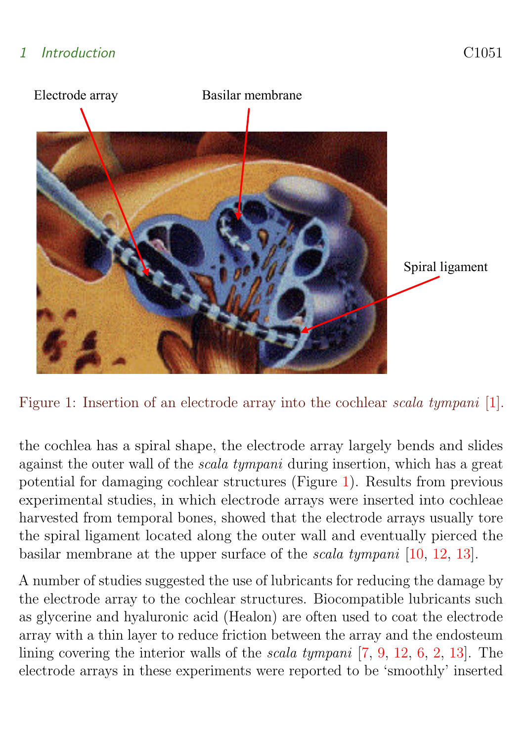### <span id="page-2-1"></span>1 Introduction C1051



Figure 1: Insertion of an electrode array into the cochlear scala tympani [\[1\]](#page-8-2).

<span id="page-2-0"></span>the cochlea has a spiral shape, the electrode array largely bends and slides against the outer wall of the scala tympani during insertion, which has a great potential for damaging cochlear structures (Figure [1\)](#page-2-0). Results from previous experimental studies, in which electrode arrays were inserted into cochleae harvested from temporal bones, showed that the electrode arrays usually tore the spiral ligament located along the outer wall and eventually pierced the basilar membrane at the upper surface of the scala tympani [\[10,](#page-9-0) [12,](#page-10-2) [13\]](#page-10-3).

A number of studies suggested the use of lubricants for reducing the damage by the electrode array to the cochlear structures. Biocompatible lubricants such as glycerine and hyaluronic acid (Healon) are often used to coat the electrode array with a thin layer to reduce friction between the array and the endosteum lining covering the interior walls of the scala tympani [\[7,](#page-9-1) [9,](#page-9-2) [12,](#page-10-2) [6,](#page-9-3) [2,](#page-8-1) [13\]](#page-10-3). The electrode arrays in these experiments were reported to be 'smoothly' inserted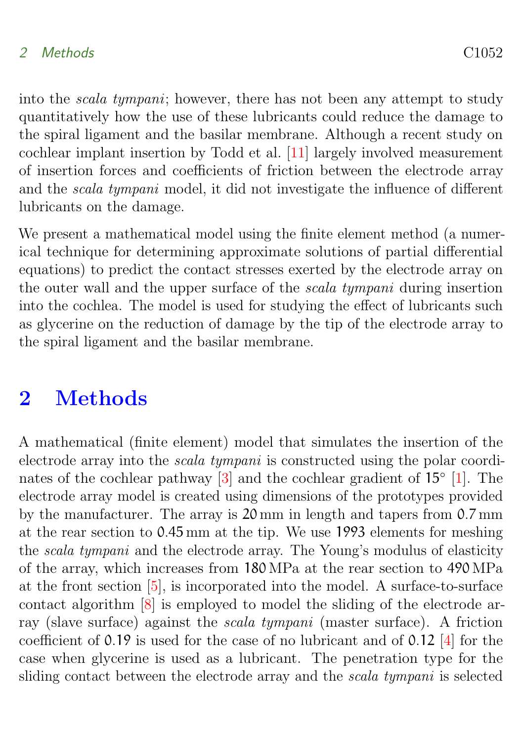#### <span id="page-3-1"></span>2 Methods C1052

into the scala tympani; however, there has not been any attempt to study quantitatively how the use of these lubricants could reduce the damage to the spiral ligament and the basilar membrane. Although a recent study on cochlear implant insertion by Todd et al. [\[11\]](#page-9-4) largely involved measurement of insertion forces and coefficients of friction between the electrode array and the scala tympani model, it did not investigate the influence of different lubricants on the damage.

We present a mathematical model using the finite element method (a numerical technique for determining approximate solutions of partial differential equations) to predict the contact stresses exerted by the electrode array on the outer wall and the upper surface of the scala tympani during insertion into the cochlea. The model is used for studying the effect of lubricants such as glycerine on the reduction of damage by the tip of the electrode array to the spiral ligament and the basilar membrane.

### <span id="page-3-0"></span>2 Methods

A mathematical (finite element) model that simulates the insertion of the electrode array into the scala tympani is constructed using the polar coordi-nates of the cochlear pathway [\[3\]](#page-8-3) and the cochlear gradient of  $15°$  [\[1\]](#page-8-2). The electrode array model is created using dimensions of the prototypes provided by the manufacturer. The array is 20 mm in length and tapers from 0.7 mm at the rear section to 0.45 mm at the tip. We use 1993 elements for meshing the scala tympani and the electrode array. The Young's modulus of elasticity of the array, which increases from 180 MPa at the rear section to 490 MPa at the front section [\[5\]](#page-9-5), is incorporated into the model. A surface-to-surface contact algorithm [\[8\]](#page-9-6) is employed to model the sliding of the electrode array (slave surface) against the scala tympani (master surface). A friction coefficient of 0.19 is used for the case of no lubricant and of 0.12 [\[4\]](#page-9-7) for the case when glycerine is used as a lubricant. The penetration type for the sliding contact between the electrode array and the scala tympani is selected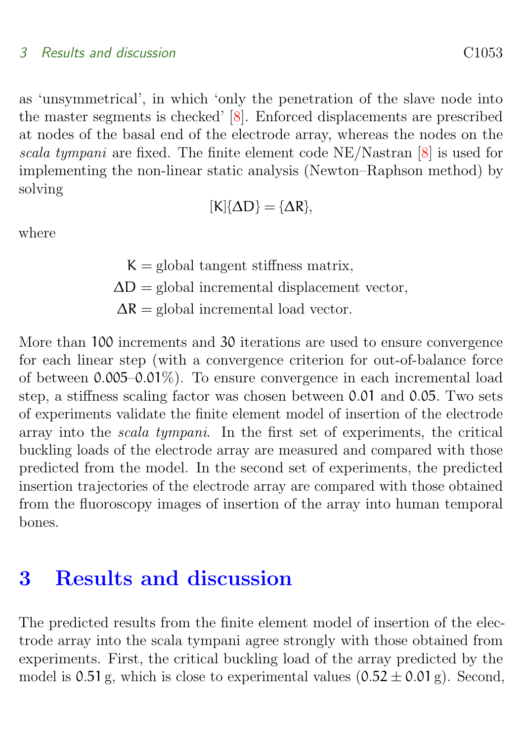#### <span id="page-4-1"></span>3 Results and discussion C1053

the master segments is checked' [\[8\]](#page-9-6). Enforced displacements are prescribed at nodes of the basal end of the electrode array, whereas the nodes on the scala tympani are fixed. The finite element code NE/Nastran [\[8\]](#page-9-6) is used for implementing the non-linear static analysis (Newton–Raphson method) by solving

$$
[K]\{\Delta D\} = \{\Delta R\},
$$

where

 $K =$  global tangent stiffness matrix,  $\Delta D =$  global incremental displacement vector,  $\Delta R =$  global incremental load vector.

More than 100 increments and 30 iterations are used to ensure convergence for each linear step (with a convergence criterion for out-of-balance force of between 0.005–0.01%). To ensure convergence in each incremental load step, a stiffness scaling factor was chosen between 0.01 and 0.05. Two sets of experiments validate the finite element model of insertion of the electrode array into the scala tympani. In the first set of experiments, the critical buckling loads of the electrode array are measured and compared with those predicted from the model. In the second set of experiments, the predicted insertion trajectories of the electrode array are compared with those obtained from the fluoroscopy images of insertion of the array into human temporal bones.

### <span id="page-4-0"></span>3 Results and discussion

The predicted results from the finite element model of insertion of the electrode array into the scala tympani agree strongly with those obtained from experiments. First, the critical buckling load of the array predicted by the model is 0.51 g, which is close to experimental values  $(0.52 \pm 0.01 \text{ g})$ . Second,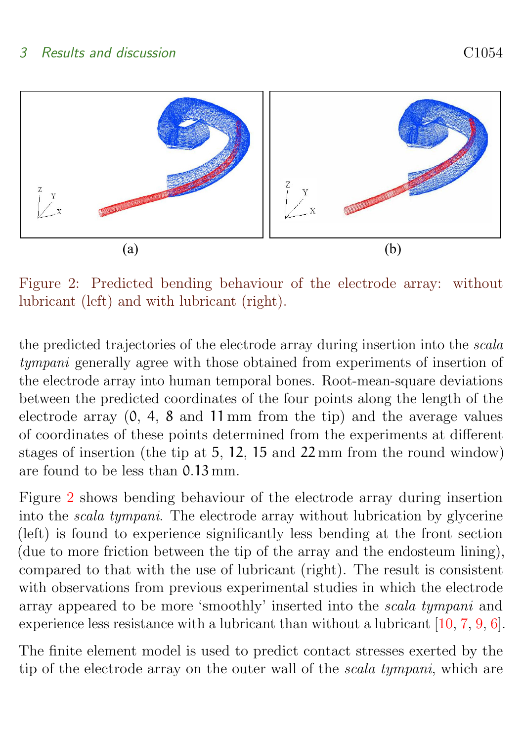<span id="page-5-1"></span>

<span id="page-5-0"></span> $\mathbf{D}^*$  , and  $\mathbf{D}$  is  $\mathbf{P}$  and  $\mathbf{P}$  and  $\mathbf{P}$  and  $\mathbf{P}$  and  $\mathbf{P}$  and  $\mathbf{P}$  and  $\mathbf{P}$  and  $\mathbf{P}$  and  $\mathbf{P}$  and  $\mathbf{P}$  and  $\mathbf{P}$ Figure 2: Predicted bending behaviour of the electrode array: without lubricant (left) and with lubricant (right).

the predicted trajectories of the electrode array during insertion into the scala tympani generally agree with those obtained from experiments of insertion of the electrode array into human temporal bones. Root-mean-square deviations between the predicted coordinates of the four points along the length of the electrode array (0, 4, 8 and 11 mm from the tip) and the average values of coordinates of these points determined from the experiments at different stages of insertion (the tip at 5, 12, 15 and 22 mm from the round window) are found to be less than 0.13 mm.

Figure [2](#page-5-0) shows bending behaviour of the electrode array during insertion into the scala tympani. The electrode array without lubrication by glycerine (left) is found to experience significantly less bending at the front section (due to more friction between the tip of the array and the endosteum lining), compared to that with the use of lubricant (right). The result is consistent with observations from previous experimental studies in which the electrode array appeared to be more 'smoothly' inserted into the scala tympani and experience less resistance with a lubricant than without a lubricant [\[10,](#page-9-0) [7,](#page-9-1) [9,](#page-9-2) [6\]](#page-9-3).

The finite element model is used to predict contact stresses exerted by the tip of the electrode array on the outer wall of the scala tympani, which are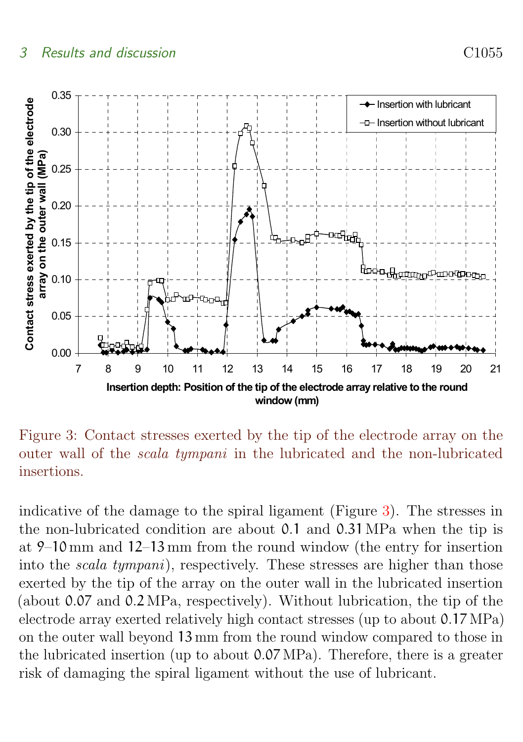#### 3 Results and discussion C1055



<span id="page-6-0"></span> Figure 3: Contact stresses exerted by the tip of the electrode array on the outer wall of the scala tympani in the lubricated and the non-lubricated insertions.

indicative of the damage to the spiral ligament (Figure [3\)](#page-6-0). The stresses in the non-lubricated condition are about 0.1 and 0.31 MPa when the tip is at 9–10 mm and 12–13 mm from the round window (the entry for insertion into the scala tympani), respectively. These stresses are higher than those exerted by the tip of the array on the outer wall in the lubricated insertion (about 0.07 and 0.2 MPa, respectively). Without lubrication, the tip of the electrode array exerted relatively high contact stresses (up to about 0.17 MPa) on the outer wall beyond 13 mm from the round window compared to those in the lubricated insertion (up to about 0.07 MPa). Therefore, there is a greater risk of damaging the spiral ligament without the use of lubricant.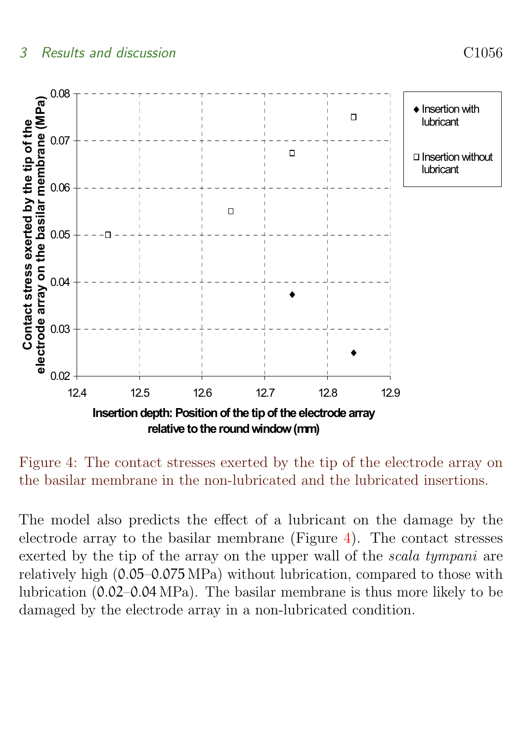

 Figure 4: The contact stresses exerted by the tip of the electrode array on the basilar membrane in the non-lubricated and the lubricated insertions.

<span id="page-7-1"></span><span id="page-7-0"></span>The model also predicts the effect of a lubricant on the damage by the electrode array to the basilar membrane (Figure [4\)](#page-7-1). The contact stresses exerted by the tip of the array on the upper wall of the scala tympani are relatively high (0.05–0.075 MPa) without lubrication, compared to those with lubrication (0.02–0.04 MPa). The basilar membrane is thus more likely to be damaged by the electrode array in a non-lubricated condition.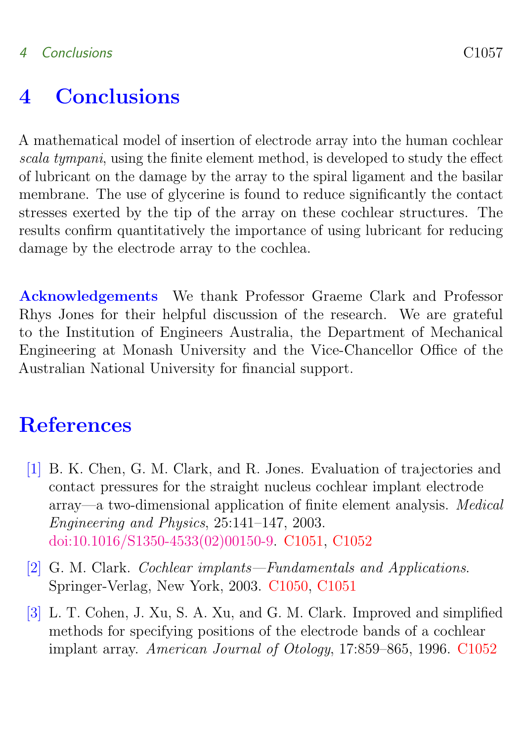### 4 Conclusions C1057

### 4 Conclusions

A mathematical model of insertion of electrode array into the human cochlear scala tympani, using the finite element method, is developed to study the effect of lubricant on the damage by the array to the spiral ligament and the basilar membrane. The use of glycerine is found to reduce significantly the contact stresses exerted by the tip of the array on these cochlear structures. The results confirm quantitatively the importance of using lubricant for reducing damage by the electrode array to the cochlea.

Acknowledgements We thank Professor Graeme Clark and Professor Rhys Jones for their helpful discussion of the research. We are grateful to the Institution of Engineers Australia, the Department of Mechanical Engineering at Monash University and the Vice-Chancellor Office of the Australian National University for financial support.

### <span id="page-8-0"></span>**References**

- <span id="page-8-2"></span>[1] B. K. Chen, G. M. Clark, and R. Jones. Evaluation of trajectories and contact pressures for the straight nucleus cochlear implant electrode array—a two-dimensional application of finite element analysis. Medical Engineering and Physics, 25:141–147, 2003. [doi:10.1016/S1350-4533\(02\)00150-9.](http://dx.doi.org/10.1016/S1350-4533(02)00150-9) [C1051,](#page-2-1) [C1052](#page-3-1)
- <span id="page-8-1"></span>[2] G. M. Clark. Cochlear implants—Fundamentals and Applications. Springer-Verlag, New York, 2003. [C1050,](#page-1-1) [C1051](#page-2-1)
- <span id="page-8-3"></span>[3] L. T. Cohen, J. Xu, S. A. Xu, and G. M. Clark. Improved and simplified methods for specifying positions of the electrode bands of a cochlear implant array. American Journal of Otology, 17:859–865, 1996. [C1052](#page-3-1)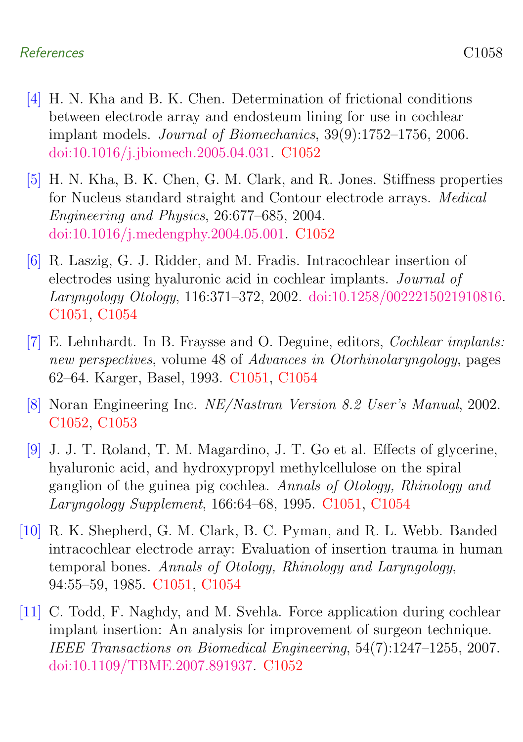#### References C1058

- <span id="page-9-7"></span>[4] H. N. Kha and B. K. Chen. Determination of frictional conditions between electrode array and endosteum lining for use in cochlear implant models. Journal of Biomechanics, 39(9):1752–1756, 2006. [doi:10.1016/j.jbiomech.2005.04.031.](http://dx.doi.org/10.1016/j.jbiomech.2005.04.031) [C1052](#page-3-1)
- <span id="page-9-5"></span>[5] H. N. Kha, B. K. Chen, G. M. Clark, and R. Jones. Stiffness properties for Nucleus standard straight and Contour electrode arrays. Medical Engineering and Physics, 26:677–685, 2004. [doi:10.1016/j.medengphy.2004.05.001.](http://dx.doi.org/10.1016/j.medengphy.2004.05.001) [C1052](#page-3-1)
- <span id="page-9-3"></span>[6] R. Laszig, G. J. Ridder, and M. Fradis. Intracochlear insertion of electrodes using hyaluronic acid in cochlear implants. Journal of Laryngology Otology, 116:371–372, 2002. [doi:10.1258/0022215021910816.](http://dx.doi.org/10.1258/0022215021910816) [C1051,](#page-2-1) [C1054](#page-5-1)
- <span id="page-9-1"></span>[7] E. Lehnhardt. In B. Fraysse and O. Deguine, editors, Cochlear implants: new perspectives, volume 48 of Advances in Otorhinolaryngology, pages 62–64. Karger, Basel, 1993. [C1051,](#page-2-1) [C1054](#page-5-1)
- <span id="page-9-6"></span>[8] Noran Engineering Inc. NE/Nastran Version 8.2 User's Manual, 2002. [C1052,](#page-3-1) [C1053](#page-4-1)
- <span id="page-9-2"></span>[9] J. J. T. Roland, T. M. Magardino, J. T. Go et al. Effects of glycerine, hyaluronic acid, and hydroxypropyl methylcellulose on the spiral ganglion of the guinea pig cochlea. Annals of Otology, Rhinology and Laryngology Supplement, 166:64–68, 1995. [C1051,](#page-2-1) [C1054](#page-5-1)
- <span id="page-9-0"></span>[10] R. K. Shepherd, G. M. Clark, B. C. Pyman, and R. L. Webb. Banded intracochlear electrode array: Evaluation of insertion trauma in human temporal bones. Annals of Otology, Rhinology and Laryngology, 94:55–59, 1985. [C1051,](#page-2-1) [C1054](#page-5-1)
- <span id="page-9-4"></span>[11] C. Todd, F. Naghdy, and M. Svehla. Force application during cochlear implant insertion: An analysis for improvement of surgeon technique. IEEE Transactions on Biomedical Engineering, 54(7):1247–1255, 2007. [doi:10.1109/TBME.2007.891937.](http://dx.doi.org/10.1109/TBME.2007.891937) [C1052](#page-3-1)